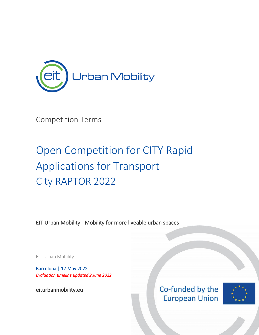

Competition Terms

# Open Competition for CITY Rapid Applications for Transport City RAPTOR 2022

EIT Urban Mobility - Mobility for more liveable urban spaces

EIT Urban Mobility

Barcelona | 17 May 2022 *Evaluation timeline updated 2 June 2022*

[eiturbanmobility.eu](http://www.eiturbanmobility.eu/) 



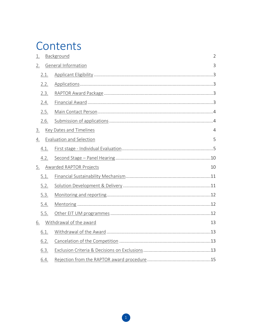# Contents

| 1.               |      | Background                      | $\overline{2}$ |
|------------------|------|---------------------------------|----------------|
| 2.               |      | <b>General Information</b>      | 3              |
|                  | 2.1. |                                 |                |
|                  | 2.2. |                                 |                |
|                  | 2.3. |                                 |                |
|                  | 2.4. |                                 |                |
|                  | 2.5. |                                 |                |
|                  | 2.6. |                                 |                |
| $\overline{3}$ . |      | <b>Key Dates and Timelines</b>  | 4              |
| 4.               |      | <b>Evaluation and Selection</b> | 5              |
|                  | 4.1. |                                 |                |
|                  | 4.2. |                                 |                |
| <u>5.</u>        |      | <b>Awarded RAPTOR Projects</b>  | 10             |
|                  | 5.1. |                                 |                |
|                  | 5.2. |                                 |                |
|                  | 5.3. |                                 |                |
|                  | 5.4. |                                 |                |
|                  | 5.5. |                                 |                |
| 6.               |      | Withdrawal of the award         | 13             |
|                  | 6.1. |                                 |                |
|                  | 6.2. |                                 |                |
|                  | 6.3. |                                 |                |
|                  | 6.4. |                                 |                |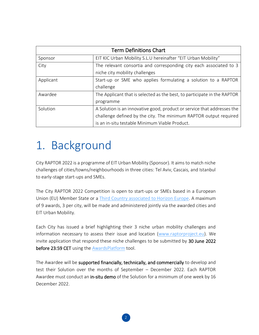| <b>Term Definitions Chart</b>                  |                                                                          |  |  |
|------------------------------------------------|--------------------------------------------------------------------------|--|--|
| Sponsor                                        | EIT KIC Urban Mobility S.L.U hereinafter "EIT Urban Mobility"            |  |  |
| City                                           | The relevant consortia and corresponding city each associated to 3       |  |  |
|                                                | niche city mobility challenges                                           |  |  |
| Applicant                                      | Start-up or SME who applies formulating a solution to a RAPTOR           |  |  |
|                                                | challenge                                                                |  |  |
| Awardee                                        | The Applicant that is selected as the best, to participate in the RAPTOR |  |  |
|                                                | programme                                                                |  |  |
| Solution                                       | A Solution is an innovative good, product or service that addresses the  |  |  |
|                                                | challenge defined by the city. The minimum RAPTOR output required        |  |  |
| is an in-situ testable Minimum Viable Product. |                                                                          |  |  |

# <span id="page-2-0"></span>1. Background

City RAPTOR 2022 is a programme of EIT Urban Mobility (Sponsor). It aims to match niche challenges of cities/towns/neighbourhoods in three cities: Tel Aviv, Cascais, and Istanbul to early-stage start-ups and SMEs.

The City RAPTOR 2022 Competition is open to start-ups or SMEs based in a European Union (EU) Member State or a [Third Country associated to Horizon Europe.](https://ec.europa.eu/info/funding-tenders/opportunities/docs/2021-2027/common/guidance/list-3rd-country-participation_horizon-euratom_en.pdf) A maximum of 9 awards, 3 per city, will be made and administered jointly via the awarded cities and EIT Urban Mobility.

Each City has issued a brief highlighting their 3 niche urban mobility challenges and information necessary to assess their issue and location [\(www.raptorproject.eu\)](https://raptorproject.eu/). We invite application that respond these niche challenges to be submitted by 30 June 2022 before 23:59 CET using the **AwardsPlatform** tool.

The Awardee will be supported financially, technically, and commercially to develop and test their Solution over the months of September – December 2022. Each RAPTOR Awardee must conduct an in-situ demo of the Solution for a minimum of one week by 16 December 2022.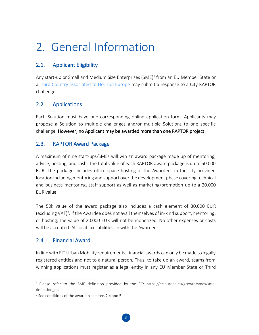## <span id="page-3-0"></span>2. General Information

### <span id="page-3-1"></span>2.1. Applicant Eligibility

Any start-up or Small and Medium Size Enterprises (SME)<sup>1</sup> from an EU Member State or a [Third Country associated to Horizon Europe](https://ec.europa.eu/info/funding-tenders/opportunities/docs/2021-2027/common/guidance/list-3rd-country-participation_horizon-euratom_en.pdf) may submit a response to a City RAPTOR challenge.

### <span id="page-3-2"></span>2.2. Applications

Each Solution must have one corresponding online application form. Applicants may propose a Solution to multiple challenges and/or multiple Solutions to one specific challenge. However, no Applicant may be awarded more than one RAPTOR project.

#### <span id="page-3-3"></span>2.3. RAPTOR Award Package

A maximum of nine start-ups/SMEs will win an award package made up of mentoring, advice, hosting, and cash. The total value of each RAPTOR award package is up to 50.000 EUR. The package includes office space hosting of the Awardees in the city provided location including mentoring and support over the development phase covering technical and business mentoring, staff support as well as marketing/promotion up to a 20.000 EUR value.

The 50k value of the award package also includes a cash element of 30.000 EUR (excluding VAT)<sup>2</sup>. If the Awardee does not avail themselves of in-kind support, mentoring, or hosting, the value of 20.000 EUR will not be monetized. No other expenses or costs will be accepted. All local tax liabilities lie with the Awardee.

#### <span id="page-3-4"></span>2.4. Financial Award

In line with EIT Urban Mobility requirements, financial awards can only be made to legally registered entities and not to a natural person. Thus, to take up an award, teams from winning applications must register as a legal entity in any EU Member State or Third

<sup>&</sup>lt;sup>1</sup> Please refer to the SME definition provided by the EC: [https://ec.europa.eu/growth/smes/sme](https://ec.europa.eu/growth/smes/sme-definition_en)[definition\\_en](https://ec.europa.eu/growth/smes/sme-definition_en)

<sup>2</sup> See conditions of the award in sections 2.4 and 5.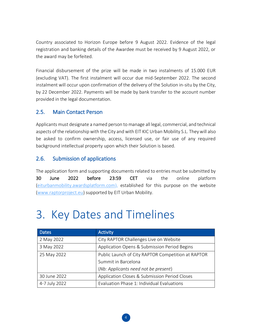Country associated to Horizon Europe before 9 August 2022. Evidence of the legal registration and banking details of the Awardee must be received by 9 August 2022, or the award may be forfeited.

Financial disbursement of the prize will be made in two instalments of 15.000 EUR (excluding VAT). The first instalment will occur due mid-September 2022. The second instalment will occur upon confirmation of the delivery of the Solution in-situ by the City, by 22 December 2022. Payments will be made by bank transfer to the account number provided in the legal documentation.

#### <span id="page-4-0"></span>2.5. Main Contact Person

Applicants must designate a named person to manage all legal, commercial, and technical aspects of the relationship with the City and with EIT KIC Urban Mobility S.L. They will also be asked to confirm ownership, access, licensed use, or fair use of any required background intellectual property upon which their Solution is based.

### <span id="page-4-1"></span>2.6. Submission of applications

The application form and supporting documents related to entries must be submitted by 30 June 2022 before 23:59 CET via the online platform [\(eiturbanmobility.awardsplatform.com\)](https://eiturbanmobility.awardsplatform.com/), established for this purpose on the website [\(www.raptorproject.eu\)](http://www.raptorproject.eu/) supported by EIT Urban Mobility.

# <span id="page-4-2"></span>3. Key Dates and Timelines

| <b>Dates</b>                                                      | <b>Activity</b>                               |  |
|-------------------------------------------------------------------|-----------------------------------------------|--|
| 2 May 2022                                                        | City RAPTOR Challenges Live on Website        |  |
| 3 May 2022                                                        | Application Opens & Submission Period Begins  |  |
| Public Launch of City RAPTOR Competition at RAPTOR<br>25 May 2022 |                                               |  |
|                                                                   | Summit in Barcelona                           |  |
|                                                                   | (Nb: Applicants need not be present)          |  |
| 30 June 2022                                                      | Application Closes & Submission Period Closes |  |
| 4-7 July 2022                                                     | Evaluation Phase 1: Individual Evaluations    |  |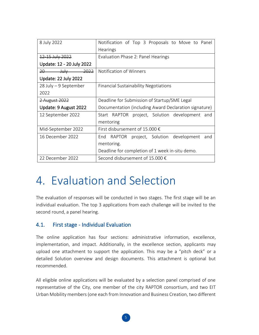| 8 July 2022                    | Notification of Top 3 Proposals to Move to Panel      |  |  |
|--------------------------------|-------------------------------------------------------|--|--|
|                                | Hearings                                              |  |  |
| 12-15 July 2022                | Evaluation Phase 2: Panel Hearings                    |  |  |
| Update: 12 - 20 July 2022      |                                                       |  |  |
| $July$ 2022<br>$20$ and $\sim$ | Notification of Winners                               |  |  |
| <b>Update: 22 July 2022</b>    |                                                       |  |  |
| $28$ July – 9 September        | Financial Sustainability Negotiations                 |  |  |
| 2022                           |                                                       |  |  |
| 2 August 2022                  | Deadline for Submission of Startup/SME Legal          |  |  |
| Update: 9 August 2022          | Documentation (including Award Declaration signature) |  |  |
| 12 September 2022              | Start RAPTOR project, Solution development and        |  |  |
|                                | mentoring                                             |  |  |
| Mid-September 2022             | First disbursement of 15.000 €                        |  |  |
| 16 December 2022               | End RAPTOR project, Solution development<br>and       |  |  |
|                                | mentoring.                                            |  |  |
|                                | Deadline for completion of 1 week in-situ demo.       |  |  |
| 22 December 2022               | Second disbursement of 15,000 $\epsilon$              |  |  |

## <span id="page-5-0"></span>4. Evaluation and Selection

The evaluation of responses will be conducted in two stages. The first stage will be an individual evaluation. The top 3 applications from each challenge will be invited to the second round, a panel hearing.

#### <span id="page-5-1"></span>4.1. First stage - Individual Evaluation

The online application has four sections: administrative information, excellence, implementation, and impact. Additionally, in the excellence section, applicants may upload one attachment to support the application. This may be a "pitch deck" or a detailed Solution overview and design documents. This attachment is optional but recommended.

All eligible online applications will be evaluated by a selection panel comprised of one representative of the City, one member of the city RAPTOR consortium, and two EIT Urban Mobility members (one each from Innovation and Business Creation, two different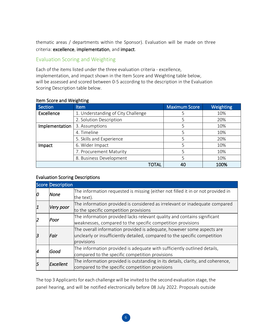thematic areas / departments within the Sponsor). Evaluation will be made on three criteria: excellence, implementation, and impact.

#### Evaluation Scoring and Weighting

Each of the items listed under the three evaluation criteria - excellence, implementation, and impact shown in the Item Score and Weighting table below, will be assessed and scored between 0-5 according to the description in the Evaluation Scoring Description table below.

| Section        | <b>Item</b>                        | <b>Maximum Score</b> | <b>Weighting</b> |
|----------------|------------------------------------|----------------------|------------------|
| Excellence     | 1. Understanding of City Challenge | ╮                    | 10%              |
|                | 2. Solution Description            | 5                    | 20%              |
| Implementation | 3. Assumptions                     | 5                    | 10%              |
|                | 4. Timeline                        | 5                    | 10%              |
|                | 5. Skills and Experience           | 5                    | 20%              |
| Impact         | 6. Wider Impact                    | 5                    | 10%              |
|                | 7. Procurement Maturity            | 5                    | 10%              |
|                | 8. Business Development            | 5                    | 10%              |
|                | TOTAL                              | 40                   | 100%             |

#### Item Score and Weighting

#### Evaluation Scoring Descriptions

|           | <b>Score Description</b> |                                                                                  |
|-----------|--------------------------|----------------------------------------------------------------------------------|
| 10        | None                     | The information requested is missing (either not filled it in or not provided in |
|           |                          | the text).                                                                       |
| $\vert$ 1 | Very poor                | The information provided is considered as irrelevant or inadequate compared      |
|           |                          | to the specific competition provisions                                           |
| 12        | Poor                     | The information provided lacks relevant quality and contains significant         |
|           |                          | weaknesses, compared to the specific competition provisions                      |
|           | <b>Fair</b>              | The overall information provided is adequate, however some aspects are           |
| 3         |                          | unclearly or insufficiently detailed, compared to the specific competition       |
|           |                          | provisions                                                                       |
| 14        | Good                     | The information provided is adequate with sufficiently outlined details,         |
|           |                          | compared to the specific competition provisions                                  |
| 5         | Excellent                | The information provided is outstanding in its details, clarity, and coherence,  |
|           |                          | compared to the specific competition provisions                                  |

The top 3 Applicants for each challenge will be invited to the second evaluation stage, the panel hearing, and will be notified electronically before 08 July 2022. Proposals outside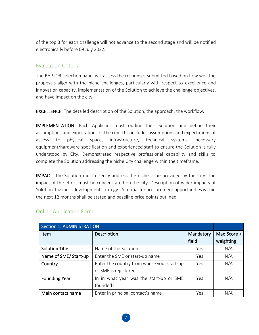of the top 3 for each challenge will not advance to the second stage and will be notified electronically before 09 July 2022.

#### Evaluation Criteria

The RAPTOR selection panel will assess the responses submitted based on how well the proposals align with the niche challenges, particularly with respect to excellence and innovation capacity, implementation of the Solution to achieve the challenge objectives, and have impact on the city.

EXCELLENCE. The detailed description of the Solution, the approach, the workflow.

IMPLEMENTATION. Each Applicant must outline their Solution and define their assumptions and expectations of the city. This includes assumptions and expectations of access to physical space, infrastructure, technical systems, necessary equipment/hardware specification and experienced staff to ensure the Solution is fully understood by City. Demonstrated respective professional capability and skills to complete the Solution addressing the niche City challenge within the timeframe.

IMPACT. The Solution must directly address the niche issue provided by the City. The impact of the effort must be concentrated on the city. Description of wider impacts of Solution, business development strategy. Potential for procurement opportunities within the next 12 months shall be stated and baseline price points outlined.

| <b>Section 1: ADMINISTRATION</b> |                                            |           |             |
|----------------------------------|--------------------------------------------|-----------|-------------|
| <b>Item</b>                      | Description                                | Mandatory | Max Score / |
|                                  |                                            | field     | weighting   |
| <b>Solution Title</b>            | Name of the Solution                       | Yes       | N/A         |
| Name of SME/Start-up             | Enter the SME or start-up name             | Yes       | N/A         |
| Country                          | Enter the country from where your start-up | Yes       | N/A         |
|                                  | or SME is registered                       |           |             |
| <b>Founding Year</b>             | In in what year was the start-up or SME    | Yes       | N/A         |
|                                  | founded?                                   |           |             |
| Main contact name                | Enter in principal contact's name          | Yes       | N/A         |

#### Online Application Form

7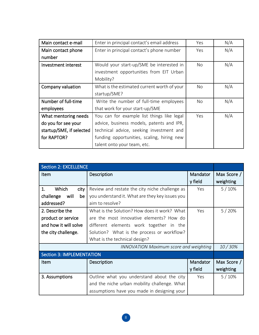| Main contact e-mail      | Enter in principal contact's email address  | Yes | N/A |
|--------------------------|---------------------------------------------|-----|-----|
| Main contact phone       | Enter in principal contact's phone number   | Yes | N/A |
| number                   |                                             |     |     |
| Investment interest      | Would your start-up/SME be interested in    | No  | N/A |
|                          | investment opportunities from EIT Urban     |     |     |
|                          | Mobility?                                   |     |     |
| Company valuation        | What is the estimated current worth of your | No. | N/A |
|                          | startup/SME?                                |     |     |
| Number of full-time      | Write the number of full-time employees     | No. | N/A |
| employees                | that work for your start-up/SME             |     |     |
| What mentoring needs     | You can for example list things like legal  | Yes | N/A |
| do you for see your      | advice, business models, patents and IPR,   |     |     |
| startup/SME, if selected | technical advice, seeking investment and    |     |     |
| for RAPTOR?              | funding opportunities, scaling, hiring new  |     |     |
|                          | talent onto your team, etc.                 |     |     |

| <b>Section 2: EXCELLENCE</b>     |                                                 |          |             |
|----------------------------------|-------------------------------------------------|----------|-------------|
| Item                             | Description                                     | Mandator | Max Score / |
|                                  |                                                 | y field  | weighting   |
| 1.<br>Which<br>city              | Review and restate the city niche challenge as  | Yes      | 5/10%       |
| be<br>challenge<br>will          | you understand it. What are they key issues you |          |             |
| addressed?                       | aim to resolve?                                 |          |             |
| 2. Describe the                  | What is the Solution? How does it work? What    | Yes      | 5/20%       |
| product or service               | are the most innovative elements? How do        |          |             |
| and how it will solve            | different elements work together in the         |          |             |
| the city challenge.              | Solution? What is the process or workflow?      |          |             |
|                                  | What is the technical design?                   |          |             |
|                                  | <b>INNOVATION Maximum score and weighting</b>   |          | 10/30%      |
| <b>Section 3: IMPLEMENTATION</b> |                                                 |          |             |
| Item                             | Description                                     | Mandator | Max Score / |
|                                  |                                                 | y field  | weighting   |
| 3. Assumptions                   | Outline what you understand about the city      | Yes      | 5/10%       |
|                                  | and the niche urban mobility challenge. What    |          |             |
|                                  | assumptions have you made in designing your     |          |             |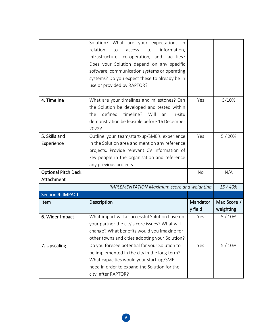|                            | Solution? What are your expectations in                                                   |           |             |
|----------------------------|-------------------------------------------------------------------------------------------|-----------|-------------|
|                            | relation<br>information,<br>to<br>to<br>access                                            |           |             |
|                            | infrastructure, co-operation, and facilities?                                             |           |             |
|                            | Does your Solution depend on any specific<br>software, communication systems or operating |           |             |
|                            | systems? Do you expect these to already be in                                             |           |             |
|                            | use or provided by RAPTOR?                                                                |           |             |
|                            |                                                                                           |           |             |
| 4. Timeline                | What are your timelines and milestones? Can                                               | Yes       | 5/10%       |
|                            | the Solution be developed and tested within                                               |           |             |
|                            | timeline?<br>defined<br>Will<br>the<br>in-situ<br>an                                      |           |             |
|                            | demonstration be feasible before 16 December                                              |           |             |
|                            | 2022?                                                                                     |           |             |
| 5. Skills and              | Outline your team/start-up/SME's experience                                               | Yes       | 5/20%       |
| Experience                 | in the Solution area and mention any reference                                            |           |             |
|                            | projects. Provide relevant CV information of                                              |           |             |
|                            | key people in the organisation and reference                                              |           |             |
|                            | any previous projects.                                                                    |           |             |
| <b>Optional Pitch Deck</b> |                                                                                           | <b>No</b> | N/A         |
| Attachment                 |                                                                                           |           |             |
|                            | <b>IMPLEMENTATION Maximum score and weighting</b>                                         |           | 15/40%      |
| Section 4: IMPACT          |                                                                                           |           |             |
| Item                       | Description                                                                               | Mandator  | Max Score / |
|                            |                                                                                           | y field   | weighting   |
| 6. Wider Impact            | What impact will a successful Solution have on                                            | Yes       | 5/10%       |
|                            | your partner the city's core issues? What will                                            |           |             |
|                            | change? What benefits would you imagine for                                               |           |             |
|                            | other towns and cities adopting your Solution?                                            |           |             |
| 7. Upscaling               | Do you foresee potential for your Solution to                                             | Yes       | 5/10%       |
|                            | be implemented in the city in the long term?                                              |           |             |
|                            | What capacities would your start-up/SME                                                   |           |             |
|                            | need in order to expand the Solution for the                                              |           |             |
|                            | city, after RAPTOR?                                                                       |           |             |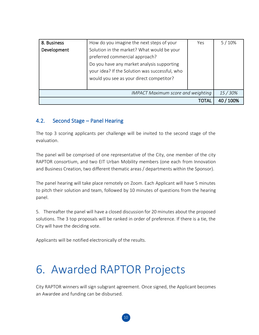| 8. Business | How do you imagine the next steps of your      | Yes  | 5/10%  |
|-------------|------------------------------------------------|------|--------|
| Development | Solution in the market? What would be your     |      |        |
|             | preferred commercial approach?                 |      |        |
|             | Do you have any market analysis supporting     |      |        |
|             | your idea? If the Solution was successful, who |      |        |
|             | would you see as your direct competitor?       |      |        |
|             |                                                |      |        |
|             | <b>IMPACT Maximum score and weighting</b>      |      | 15/30% |
|             |                                                | TOTA |        |

### <span id="page-10-0"></span>4.2. Second Stage – Panel Hearing

The top 3 scoring applicants per challenge will be invited to the second stage of the evaluation.

The panel will be comprised of one representative of the City, one member of the city RAPTOR consortium, and two EIT Urban Mobility members (one each from Innovation and Business Creation, two different thematic areas / departments within the Sponsor).

The panel hearing will take place remotely on Zoom. Each Applicant will have 5 minutes to pitch their solution and team, followed by 10 minutes of questions from the hearing panel.

5. Thereafter the panel will have a closed discussion for 20 minutes about the proposed solutions. The 3 top proposals will be ranked in order of preference. If there is a tie, the City will have the deciding vote.

Applicants will be notified electronically of the results.

## <span id="page-10-1"></span>6. Awarded RAPTOR Projects

City RAPTOR winners will sign subgrant agreement. Once signed, the Applicant becomes an Awardee and funding can be disbursed.

10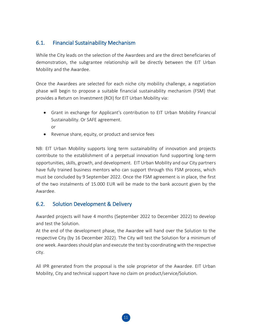### <span id="page-11-0"></span>6.1. Financial Sustainability Mechanism

While the City leads on the selection of the Awardees and are the direct beneficiaries of demonstration, the subgrantee relationship will be directly between the EIT Urban Mobility and the Awardee.

Once the Awardees are selected for each niche city mobility challenge, a negotiation phase will begin to propose a suitable financial sustainability mechanism (FSM) that provides a Return on Investment (ROI) for EIT Urban Mobility via:

- Grant in exchange for Applicant's contribution to EIT Urban Mobility Financial Sustainability. Or SAFE agreement. or
- Revenue share, equity, or product and service fees

NB: EIT Urban Mobility supports long term sustainability of innovation and projects contribute to the establishment of a perpetual innovation fund supporting long-term opportunities, skills, growth, and development. EIT Urban Mobility and our City partners have fully trained business mentors who can support through this FSM process, which must be concluded by 9 September 2022. Once the FSM agreement is in place, the first of the two instalments of 15.000 EUR will be made to the bank account given by the Awardee.

#### <span id="page-11-1"></span>6.2. Solution Development & Delivery

Awarded projects will have 4 months (September 2022 to December 2022) to develop and test the Solution.

At the end of the development phase, the Awardee will hand over the Solution to the respective City (by 16 December 2022). The City will test the Solution for a minimum of one week. Awardees should plan and execute the test by coordinating with the respective city.

All IPR generated from the proposal is the sole proprietor of the Awardee. EIT Urban Mobility, City and technical support have no claim on product/service/Solution.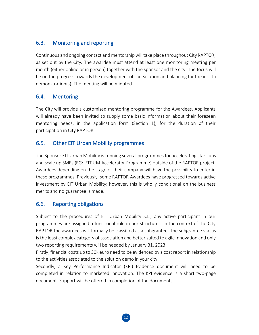### <span id="page-12-0"></span>6.3. Monitoring and reporting

Continuous and ongoing contact and mentorship will take place throughout City RAPTOR, as set out by the City. The awardee must attend at least one monitoring meeting per month (either online or in person) together with the sponsor and the city. The focus will be on the progress towards the development of the Solution and planning for the in-situ demonstration(s). The meeting will be minuted.

### <span id="page-12-1"></span>6.4. Mentoring

The City will provide a customised mentoring programme for the Awardees. Applicants will already have been invited to supply some basic information about their foreseen mentoring needs, in the application form (Section 1), for the duration of their participation in City RAPTOR.

### <span id="page-12-2"></span>6.5. Other EIT Urban Mobility programmes

The Sponsor EIT Urban Mobility is running several programmes for accelerating start-ups and scale up SMEs (EG: EIT UM [Accelerator](https://www.eiturbanmobility.eu/business-creation/accelerator/) Programme) outside of the RAPTOR project. Awardees depending on the stage of their company will have the possibility to enter in these programmes. Previously, some RAPTOR Awardees have progressed towards active investment by EIT Urban Mobility; however, this is wholly conditional on the business merits and no guarantee is made.

#### 6.6. Reporting obligations

Subject to the procedures of EIT Urban Mobility S.L., any active participant in our programmes are assigned a functional role in our structures. In the context of the City RAPTOR the awardees will formally be classified as a subgrantee. The subgrantee status is the least complex category of association and better suited to agile innovation and only two reporting requirements will be needed by January 31, 2023.

Firstly, financial costs up to 30k euro need to be evidenced by a cost report in relationship to the activities associated to the solution demo in your city.

Secondly, a Key Performance Indicator (KPI) Evidence document will need to be completed in relation to marketed innovation. The KPI evidence is a short two-page document. Support will be offered in completion of the documents.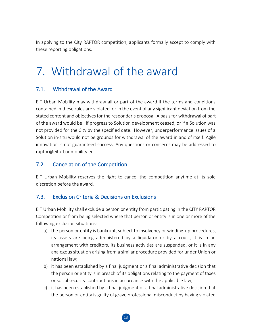In applying to the City RAPTOR competition, applicants formally accept to comply with these reporting obligations.

# <span id="page-13-0"></span>7. Withdrawal of the award

### <span id="page-13-1"></span>7.1. Withdrawal of the Award

EIT Urban Mobility may withdraw all or part of the award if the terms and conditions contained in these rules are violated, or in the event of any significant deviation from the stated content and objectives for the responder's proposal. A basis for withdrawal of part of the award would be: if progress to Solution development ceased, or if a Solution was not provided for the City by the specified date. However, underperformance issues of a Solution in-situ would not be grounds for withdrawal of the award in and of itself. Agile innovation is not guaranteed success. Any questions or concerns may be addressed to [raptor@eiturbanmobility.eu.](mailto:raptor@eiturbanmobility.eu)

### <span id="page-13-2"></span>7.2. Cancelation of the Competition

EIT Urban Mobility reserves the right to cancel the competition anytime at its sole discretion before the award.

#### <span id="page-13-3"></span>7.3. Exclusion Criteria & Decisions on Exclusions

EIT Urban Mobility shall exclude a person or entity from participating in the CITY RAPTOR Competition or from being selected where that person or entity is in one or more of the following exclusion situations:

- a) the person or entity is bankrupt, subject to insolvency or winding-up procedures, its assets are being administered by a liquidator or by a court, it is in an arrangement with creditors, its business activities are suspended, or it is in any analogous situation arising from a similar procedure provided for under Union or national law;
- b) it has been established by a final judgment or a final administrative decision that the person or entity is in breach of its obligations relating to the payment of taxes or social security contributions in accordance with the applicable law;
- c) it has been established by a final judgment or a final administrative decision that the person or entity is guilty of grave professional misconduct by having violated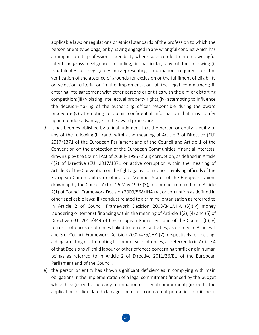applicable laws or regulations or ethical standards of the profession to which the person or entity belongs, or by having engaged in any wrongful conduct which has an impact on its professional credibility where such conduct denotes wrongful intent or gross negligence, including, in particular, any of the following:(i) fraudulently or negligently misrepresenting information required for the verification of the absence of grounds for exclusion or the fulfilment of eligibility or selection criteria or in the implementation of the legal commitment;(ii) entering into agreement with other persons or entities with the aim of distorting competition;(iii) violating intellectual property rights;(iv) attempting to influence the decision-making of the authorising officer responsible during the award procedure;(v) attempting to obtain confidential information that may confer upon it undue advantages in the award procedure;

- d) it has been established by a final judgment that the person or entity is guilty of any of the following:(i) fraud, within the meaning of Article 3 of Directive (EU) 2017/1371 of the European Parliament and of the Council and Article 1 of the Convention on the protection of the European Communities' financial interests, drawn up by the Council Act of 26 July 1995 (2);(ii) corruption, as defined in Article 4(2) of Directive (EU) 2017/1371 or active corruption within the meaning of Article 3 of the Convention on the fight against corruption involving officials of the European Com-munities or officials of Member States of the European Union, drawn up by the Council Act of 26 May 1997 (3), or conduct referred to in Article 2(1) of Council Framework Decision 2003/568/JHA (4), or corruption as defined in other applicable laws;(iii) conduct related to a criminal organisation as referred to in Article 2 of Council Framework Decision 2008/841/JHA (5);(iv) money laundering or terrorist financing within the meaning of Arti-cle 1(3), (4) and (5) of Directive (EU) 2015/849 of the European Parliament and of the Council (6);(v) terrorist offences or offences linked to terrorist activities, as defined in Articles 1 and 3 of Council Framework Decision 2002/475/JHA (7), respectively, or inciting, aiding, abetting or attempting to commit such offences, as referred to in Article 4 of that Decision;(vi) child labour or other offences concerning trafficking in human beings as referred to in Article 2 of Directive 2011/36/EU of the European Parliament and of the Council.
- e) the person or entity has shown significant deficiencies in complying with main obligations in the implementation of a legal commitment financed by the budget which has: (i) led to the early termination of a legal commitment; (ii) led to the application of liquidated damages or other contractual pen-alties; or(iii) been